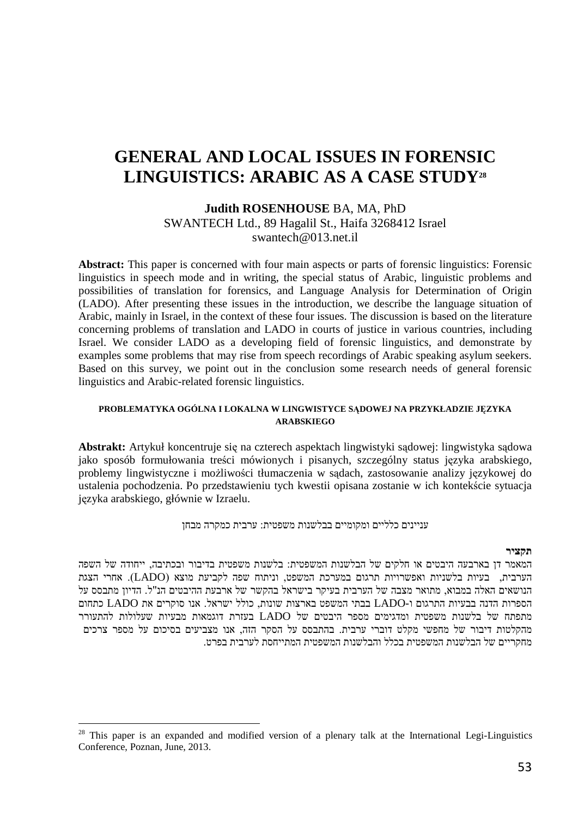# **GENERAL AND LOCAL ISSUES IN FORENSIC LINGUISTICS: ARABIC AS A CASE STUDY<sup>28</sup>**

#### **Judith ROSENHOUSE** BA, MA, PhD SWANTECH Ltd., 89 Hagalil St., Haifa 3268412 Israel swantech@013 net il

**Abstract:** This paper is concerned with four main aspects or parts of forensic linguistics: Forensic linguistics in speech mode and in writing, the special status of Arabic, linguistic problems and possibilities of translation for forensics, and Language Analysis for Determination of Origin (LADO). After presenting these issues in the introduction, we describe the language situation of Arabic, mainly in Israel, in the context of these four issues. The discussion is based on the literature concerning problems of translation and LADO in courts of justice in various countries, including Israel. We consider LADO as a developing field of forensic linguistics, and demonstrate by examples some problems that may rise from speech recordings of Arabic speaking asylum seekers. Based on this survey, we point out in the conclusion some research needs of general forensic linguistics and Arabic-related forensic linguistics.

#### **PROBLEMATYKA OGÓLNA I LOKALNA W LINGWISTYCE SĄDOWEJ NA PRZYKŁADZIE JĘZYKA ARABSKIEGO**

**Abstrakt:** Artykuł koncentruje się na czterech aspektach lingwistyki sądowej: lingwistyka sądowa jako sposób formułowania treści mówionych i pisanych, szczególny status języka arabskiego, problemy lingwistyczne i możliwości tłumaczenia w sądach, zastosowanie analizy językowej do ustalenia pochodzenia. Po przedstawieniu tych kwestii opisana zostanie w ich kontekście sytuacja języka arabskiego, głównie w Izraelu.

עניינים כלליים ומקומיים בבלשנות משפטית: ערבית כמקרה מבחן

#### **תקציר**

המאמר דן בארבעה היבטים או חלקים של הבלשנות המשפטית: בלשנות משפטית בדיבור ובכתיבה, ייחודה של השפה , הערבית בעיות בלשניות ואפשרויות תרגום במערכת המשפט, וניתוח שפה לקביעת מוצא (LADO(. אחרי הצגת הנושאים האלה במבוא, מתואר מצבה של הערבית בעיקר בישראל בהקשר של ארבעת ההיבטים הנ"ל. הדיון מתבסס על הספרות הדנה בבעיות התרגום ו LADO- בבתי המשפט בארצות שונות . כולל ישראל, אנו סוקרים את LADO כתחום מתפתח של בלשנות משפטית ומדגימים מספר היבטים של LADO בעזרת דוגמאות מבעיות שעלולות להתעורר מהקלטות דיבור של מחפשי מקלט דוברי ערבית. בהתבסס על הסקר הזה, אנו מצביעים בסיכום על מספר צרכים מחקריים של הבלשנות המשפטית בכלל והבלשנות המשפטית המתייחסת לערבית בפרט.

 $28$  This paper is an expanded and modified version of a plenary talk at the International Legi-Linguistics Conference, Poznan, June, 2013.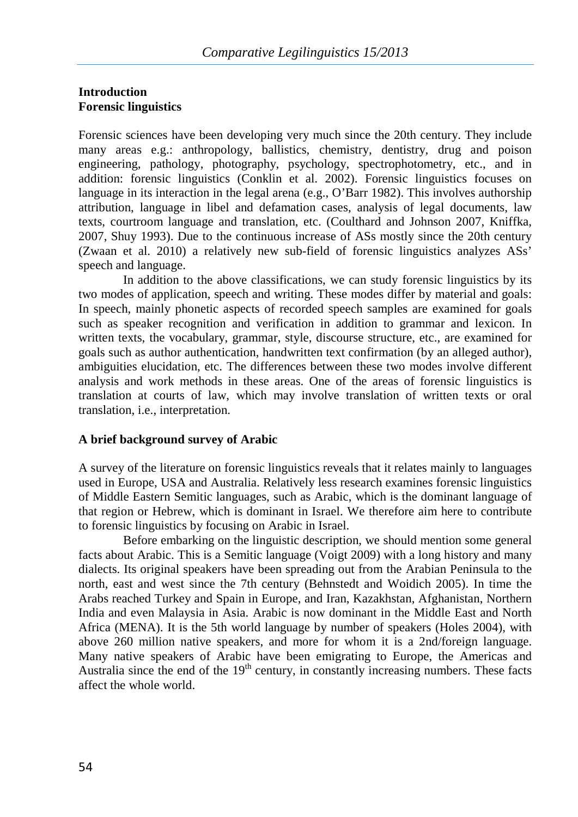## **Introduction Forensic linguistics**

Forensic sciences have been developing very much since the 20th century. They include many areas e.g.: anthropology, ballistics, chemistry, dentistry, drug and poison engineering, pathology, photography, psychology, spectrophotometry, etc., and in addition: forensic linguistics (Conklin et al. 2002). Forensic linguistics focuses on language in its interaction in the legal arena (e.g., O'Barr 1982). This involves authorship attribution, language in libel and defamation cases, analysis of legal documents, law texts, courtroom language and translation, etc. (Coulthard and Johnson 2007, Kniffka, 2007, Shuy 1993). Due to the continuous increase of ASs mostly since the 20th century (Zwaan et al. 2010) a relatively new sub-field of forensic linguistics analyzes ASs' speech and language.

In addition to the above classifications, we can study forensic linguistics by its two modes of application, speech and writing. These modes differ by material and goals: In speech, mainly phonetic aspects of recorded speech samples are examined for goals such as speaker recognition and verification in addition to grammar and lexicon. In written texts, the vocabulary, grammar, style, discourse structure, etc., are examined for goals such as author authentication, handwritten text confirmation (by an alleged author), ambiguities elucidation, etc. The differences between these two modes involve different analysis and work methods in these areas. One of the areas of forensic linguistics is translation at courts of law, which may involve translation of written texts or oral translation, i.e., interpretation.

## **A brief background survey of Arabic**

A survey of the literature on forensic linguistics reveals that it relates mainly to languages used in Europe, USA and Australia. Relatively less research examines forensic linguistics of Middle Eastern Semitic languages, such as Arabic, which is the dominant language of that region or Hebrew, which is dominant in Israel. We therefore aim here to contribute to forensic linguistics by focusing on Arabic in Israel.

Before embarking on the linguistic description, we should mention some general facts about Arabic. This is a Semitic language (Voigt 2009) with a long history and many dialects. Its original speakers have been spreading out from the Arabian Peninsula to the north, east and west since the 7th century (Behnstedt and Woidich 2005). In time the Arabs reached Turkey and Spain in Europe, and Iran, Kazakhstan, Afghanistan, Northern India and even Malaysia in Asia. Arabic is now dominant in the Middle East and North Africa (MENA). It is the 5th world language by number of speakers (Holes 2004), with above 260 million native speakers, and more for whom it is a 2nd/foreign language. Many native speakers of Arabic have been emigrating to Europe, the Americas and Australia since the end of the  $19<sup>th</sup>$  century, in constantly increasing numbers. These facts affect the whole world.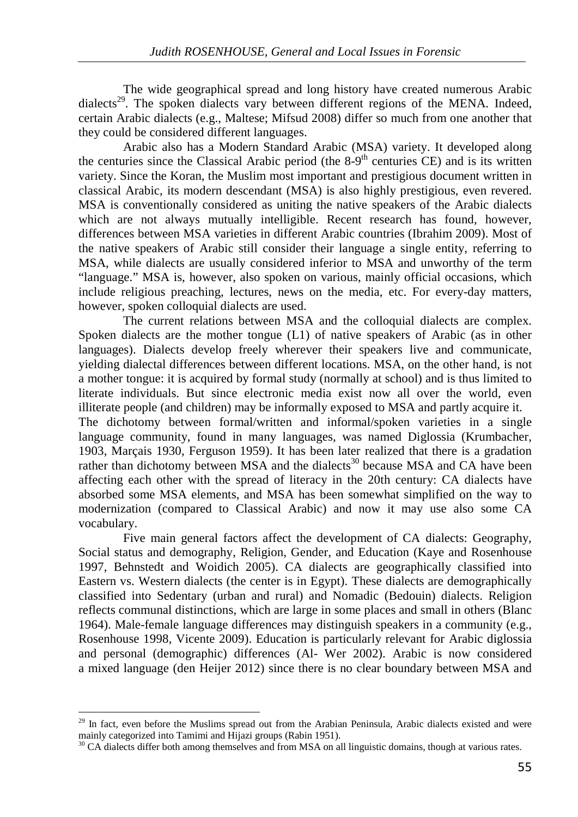The wide geographical spread and long history have created numerous Arabic dialects<sup>29</sup>. The spoken dialects vary between different regions of the MENA. Indeed, certain Arabic dialects (e.g., Maltese; Mifsud 2008) differ so much from one another that they could be considered different languages.

Arabic also has a Modern Standard Arabic (MSA) variety. It developed along the centuries since the Classical Arabic period (the  $8-9<sup>th</sup>$  centuries CE) and is its written variety. Since the Koran, the Muslim most important and prestigious document written in classical Arabic, its modern descendant (MSA) is also highly prestigious, even revered. MSA is conventionally considered as uniting the native speakers of the Arabic dialects which are not always mutually intelligible. Recent research has found, however, differences between MSA varieties in different Arabic countries (Ibrahim 2009). Most of the native speakers of Arabic still consider their language a single entity, referring to MSA, while dialects are usually considered inferior to MSA and unworthy of the term "language." MSA is, however, also spoken on various, mainly official occasions, which include religious preaching, lectures, news on the media, etc. For every-day matters, however, spoken colloquial dialects are used.

The current relations between MSA and the colloquial dialects are complex. Spoken dialects are the mother tongue (L1) of native speakers of Arabic (as in other languages). Dialects develop freely wherever their speakers live and communicate, yielding dialectal differences between different locations. MSA, on the other hand, is not a mother tongue: it is acquired by formal study (normally at school) and is thus limited to literate individuals. But since electronic media exist now all over the world, even illiterate people (and children) may be informally exposed to MSA and partly acquire it.

The dichotomy between formal/written and informal/spoken varieties in a single language community, found in many languages, was named Diglossia (Krumbacher, 1903, Marçais 1930, Ferguson 1959). It has been later realized that there is a gradation rather than dichotomy between MSA and the dialects<sup>30</sup> because MSA and CA have been affecting each other with the spread of literacy in the 20th century: CA dialects have absorbed some MSA elements, and MSA has been somewhat simplified on the way to modernization (compared to Classical Arabic) and now it may use also some CA vocabulary.

Five main general factors affect the development of CA dialects: Geography, Social status and demography, Religion, Gender, and Education (Kaye and Rosenhouse 1997, Behnstedt and Woidich 2005). CA dialects are geographically classified into Eastern vs. Western dialects (the center is in Egypt). These dialects are demographically classified into Sedentary (urban and rural) and Nomadic (Bedouin) dialects. Religion reflects communal distinctions, which are large in some places and small in others (Blanc 1964). Male-female language differences may distinguish speakers in a community (e.g., Rosenhouse 1998, Vicente 2009). Education is particularly relevant for Arabic diglossia and personal (demographic) differences (Al- Wer 2002). Arabic is now considered a mixed language (den Heijer 2012) since there is no clear boundary between MSA and

 $29$  In fact, even before the Muslims spread out from the Arabian Peninsula, Arabic dialects existed and were mainly categorized into Tamimi and Hijazi groups (Rabin 1951).

 $30$  CA dialects differ both among themselves and from MSA on all linguistic domains, though at various rates.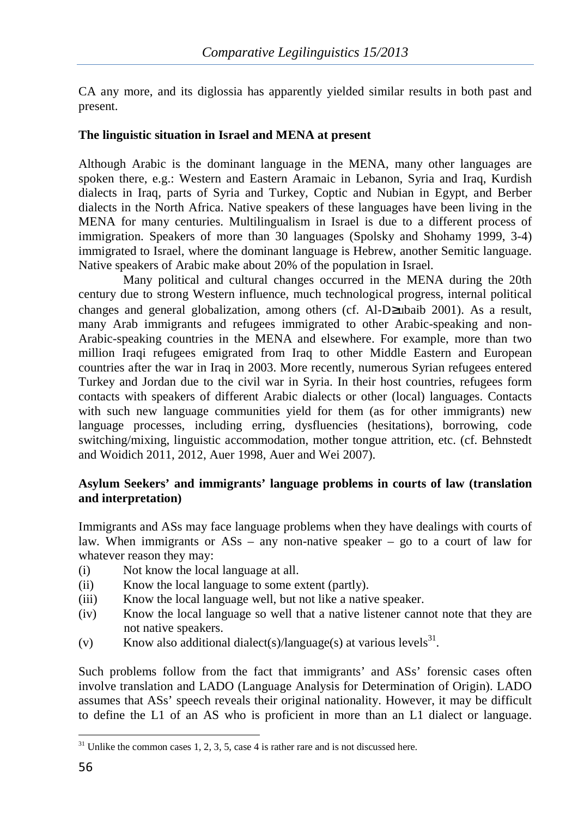CA any more, and its diglossia has apparently yielded similar results in both past and present.

## **The linguistic situation in Israel and MENA at present**

Although Arabic is the dominant language in the MENA, many other languages are spoken there, e.g.: Western and Eastern Aramaic in Lebanon, Syria and Iraq, Kurdish dialects in Iraq, parts of Syria and Turkey, Coptic and Nubian in Egypt, and Berber dialects in the North Africa. Native speakers of these languages have been living in the MENA for many centuries. Multilingualism in Israel is due to a different process of immigration. Speakers of more than 30 languages (Spolsky and Shohamy 1999, 3-4) immigrated to Israel, where the dominant language is Hebrew, another Semitic language. Native speakers of Arabic make about 20% of the population in Israel.

Many political and cultural changes occurred in the MENA during the 20th century due to strong Western influence, much technological progress, internal political changes and general globalization, among others (cf. Al-D≥ubaib 2001). As a result, many Arab immigrants and refugees immigrated to other Arabic-speaking and non-Arabic-speaking countries in the MENA and elsewhere. For example, more than two million Iraqi refugees emigrated from Iraq to other Middle Eastern and European countries after the war in Iraq in 2003. More recently, numerous Syrian refugees entered Turkey and Jordan due to the civil war in Syria. In their host countries, refugees form contacts with speakers of different Arabic dialects or other (local) languages. Contacts with such new language communities yield for them (as for other immigrants) new language processes, including erring, dysfluencies (hesitations), borrowing, code switching/mixing, linguistic accommodation, mother tongue attrition, etc. (cf. Behnstedt and Woidich 2011, 2012, Auer 1998, Auer and Wei 2007).

#### **Asylum Seekers' and immigrants' language problems in courts of law (translation and interpretation)**

Immigrants and ASs may face language problems when they have dealings with courts of law. When immigrants or  $\overline{ASs}$  – any non-native speaker – go to a court of law for whatever reason they may:

- (i) Not know the local language at all.
- (ii) Know the local language to some extent (partly).
- (iii) Know the local language well, but not like a native speaker.
- (iv) Know the local language so well that a native listener cannot note that they are not native speakers.
- (v) Know also additional dialect(s)/language(s) at various levels<sup>31</sup>.

Such problems follow from the fact that immigrants' and ASs' forensic cases often involve translation and LADO (Language Analysis for Determination of Origin). LADO assumes that ASs' speech reveals their original nationality. However, it may be difficult to define the L1 of an AS who is proficient in more than an L1 dialect or language.

 $31$  Unlike the common cases 1, 2, 3, 5, case 4 is rather rare and is not discussed here.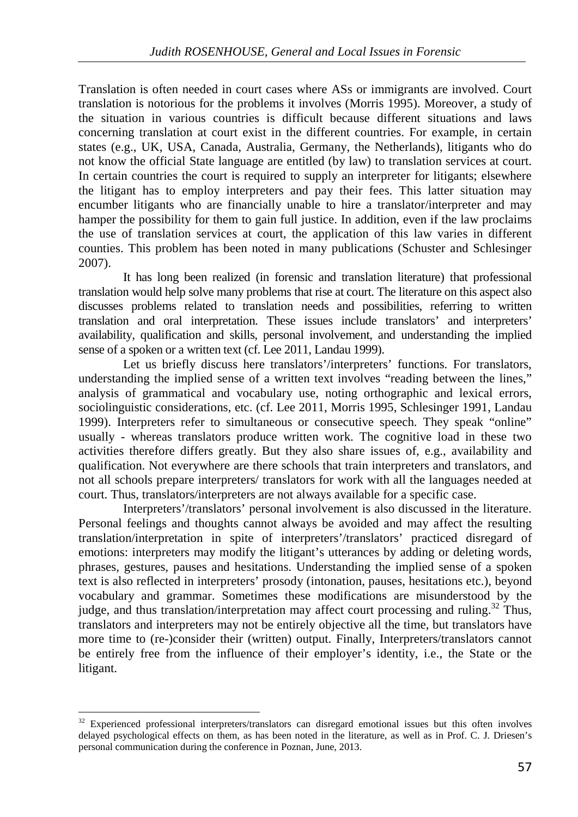Translation is often needed in court cases where ASs or immigrants are involved. Court translation is notorious for the problems it involves (Morris 1995). Moreover, a study of the situation in various countries is difficult because different situations and laws concerning translation at court exist in the different countries. For example, in certain states (e.g., UK, USA, Canada, Australia, Germany, the Netherlands), litigants who do not know the official State language are entitled (by law) to translation services at court. In certain countries the court is required to supply an interpreter for litigants; elsewhere the litigant has to employ interpreters and pay their fees. This latter situation may encumber litigants who are financially unable to hire a translator/interpreter and may hamper the possibility for them to gain full justice. In addition, even if the law proclaims the use of translation services at court, the application of this law varies in different counties. This problem has been noted in many publications (Schuster and Schlesinger 2007).

It has long been realized (in forensic and translation literature) that professional translation would help solve many problems that rise at court. The literature on this aspect also discusses problems related to translation needs and possibilities, referring to written translation and oral interpretation. These issues include translators' and interpreters' availability, qualification and skills, personal involvement, and understanding the implied sense of a spoken or a written text (cf. Lee 2011, Landau 1999).

Let us briefly discuss here translators'/interpreters' functions. For translators, understanding the implied sense of a written text involves "reading between the lines," analysis of grammatical and vocabulary use, noting orthographic and lexical errors, sociolinguistic considerations, etc. (cf. Lee 2011, Morris 1995, Schlesinger 1991, Landau 1999). Interpreters refer to simultaneous or consecutive speech. They speak "online" usually - whereas translators produce written work. The cognitive load in these two activities therefore differs greatly. But they also share issues of, e.g., availability and qualification. Not everywhere are there schools that train interpreters and translators, and not all schools prepare interpreters/ translators for work with all the languages needed at court. Thus, translators/interpreters are not always available for a specific case.

Interpreters'/translators' personal involvement is also discussed in the literature. Personal feelings and thoughts cannot always be avoided and may affect the resulting translation/interpretation in spite of interpreters'/translators' practiced disregard of emotions: interpreters may modify the litigant's utterances by adding or deleting words, phrases, gestures, pauses and hesitations. Understanding the implied sense of a spoken text is also reflected in interpreters' prosody (intonation, pauses, hesitations etc.), beyond vocabulary and grammar. Sometimes these modifications are misunderstood by the judge, and thus translation/interpretation may affect court processing and ruling.<sup>32</sup> Thus, translators and interpreters may not be entirely objective all the time, but translators have more time to (re-)consider their (written) output. Finally, Interpreters/translators cannot be entirely free from the influence of their employer's identity, i.e., the State or the litigant.

<sup>&</sup>lt;sup>32</sup> Experienced professional interpreters/translators can disregard emotional issues but this often involves delayed psychological effects on them, as has been noted in the literature, as well as in Prof. C. J. Driesen's personal communication during the conference in Poznan, June, 2013.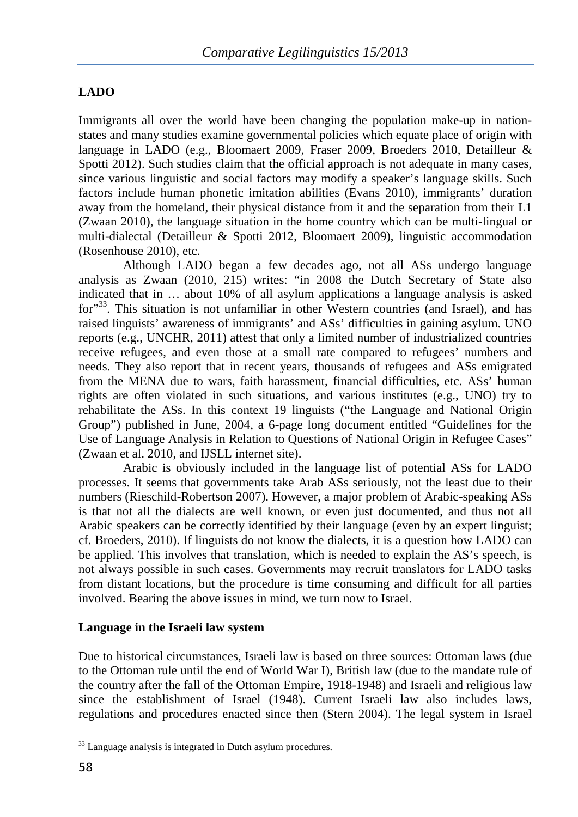## **LADO**

Immigrants all over the world have been changing the population make-up in nationstates and many studies examine governmental policies which equate place of origin with language in LADO (e.g., Bloomaert 2009, Fraser 2009, Broeders 2010, Detailleur & Spotti 2012). Such studies claim that the official approach is not adequate in many cases, since various linguistic and social factors may modify a speaker's language skills. Such factors include human phonetic imitation abilities (Evans 2010), immigrants' duration away from the homeland, their physical distance from it and the separation from their L1 (Zwaan 2010), the language situation in the home country which can be multi-lingual or multi-dialectal (Detailleur & Spotti 2012, Bloomaert 2009), linguistic accommodation (Rosenhouse 2010), etc.

Although LADO began a few decades ago, not all ASs undergo language analysis as Zwaan (2010, 215) writes: "in 2008 the Dutch Secretary of State also indicated that in … about 10% of all asylum applications a language analysis is asked for<sup>33</sup>. This situation is not unfamiliar in other Western countries (and Israel), and has raised linguists' awareness of immigrants' and ASs' difficulties in gaining asylum. UNO reports (e.g., UNCHR, 2011) attest that only a limited number of industrialized countries receive refugees, and even those at a small rate compared to refugees' numbers and needs. They also report that in recent years, thousands of refugees and ASs emigrated from the MENA due to wars, faith harassment, financial difficulties, etc. ASs' human rights are often violated in such situations, and various institutes (e.g., UNO) try to rehabilitate the ASs. In this context 19 linguists ("the Language and National Origin Group") published in June, 2004, a 6-page long document entitled "Guidelines for the Use of Language Analysis in Relation to Questions of National Origin in Refugee Cases" (Zwaan et al. 2010, and IJSLL internet site).

Arabic is obviously included in the language list of potential ASs for LADO processes. It seems that governments take Arab ASs seriously, not the least due to their numbers (Rieschild-Robertson 2007). However, a major problem of Arabic-speaking ASs is that not all the dialects are well known, or even just documented, and thus not all Arabic speakers can be correctly identified by their language (even by an expert linguist; cf. Broeders, 2010). If linguists do not know the dialects, it is a question how LADO can be applied. This involves that translation, which is needed to explain the AS's speech, is not always possible in such cases. Governments may recruit translators for LADO tasks from distant locations, but the procedure is time consuming and difficult for all parties involved. Bearing the above issues in mind, we turn now to Israel.

#### **Language in the Israeli law system**

Due to historical circumstances, Israeli law is based on three sources: Ottoman laws (due to the Ottoman rule until the end of World War I), British law (due to the mandate rule of the country after the fall of the Ottoman Empire, 1918-1948) and Israeli and religious law since the establishment of Israel (1948). Current Israeli law also includes laws, regulations and procedures enacted since then (Stern 2004). The legal system in Israel

<sup>&</sup>lt;sup>33</sup> Language analysis is integrated in Dutch asylum procedures.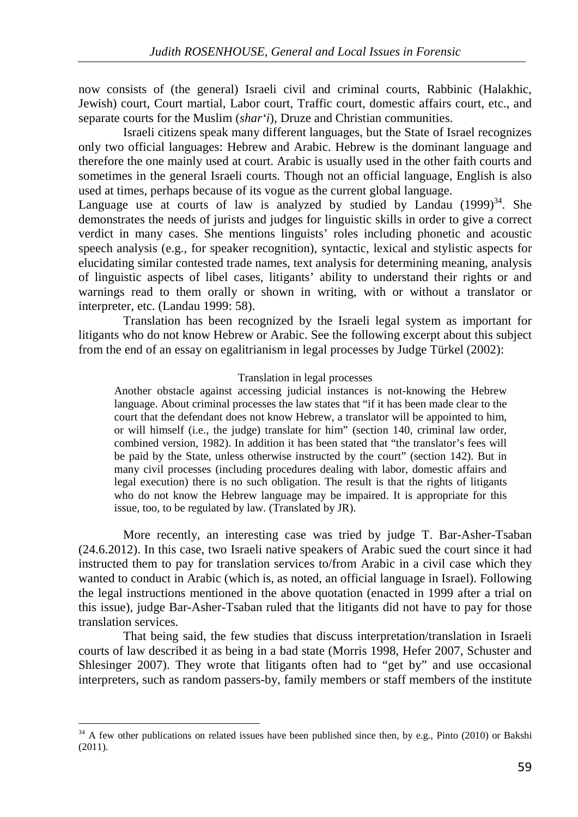now consists of (the general) Israeli civil and criminal courts, Rabbinic (Halakhic, Jewish) court, Court martial, Labor court, Traffic court, domestic affairs court, etc., and separate courts for the Muslim (*shar'i*), Druze and Christian communities.

Israeli citizens speak many different languages, but the State of Israel recognizes only two official languages: Hebrew and Arabic. Hebrew is the dominant language and therefore the one mainly used at court. Arabic is usually used in the other faith courts and sometimes in the general Israeli courts. Though not an official language, English is also used at times, perhaps because of its vogue as the current global language.

Language use at courts of law is analyzed by studied by Landau  $(1999)^{34}$ . She demonstrates the needs of jurists and judges for linguistic skills in order to give a correct verdict in many cases. She mentions linguists' roles including phonetic and acoustic speech analysis (e.g., for speaker recognition), syntactic, lexical and stylistic aspects for elucidating similar contested trade names, text analysis for determining meaning, analysis of linguistic aspects of libel cases, litigants' ability to understand their rights or and warnings read to them orally or shown in writing, with or without a translator or interpreter, etc. (Landau 1999: 58).

Translation has been recognized by the Israeli legal system as important for litigants who do not know Hebrew or Arabic. See the following excerpt about this subject from the end of an essay on egalitrianism in legal processes by Judge Türkel (2002):

#### Translation in legal processes

Another obstacle against accessing judicial instances is not-knowing the Hebrew language. About criminal processes the law states that "if it has been made clear to the court that the defendant does not know Hebrew, a translator will be appointed to him, or will himself (i.e., the judge) translate for him" (section 140, criminal law order, combined version, 1982). In addition it has been stated that "the translator's fees will be paid by the State, unless otherwise instructed by the court" (section 142). But in many civil processes (including procedures dealing with labor, domestic affairs and legal execution) there is no such obligation. The result is that the rights of litigants who do not know the Hebrew language may be impaired. It is appropriate for this issue, too, to be regulated by law. (Translated by JR).

More recently, an interesting case was tried by judge T. Bar-Asher-Tsaban (24.6.2012). In this case, two Israeli native speakers of Arabic sued the court since it had instructed them to pay for translation services to/from Arabic in a civil case which they wanted to conduct in Arabic (which is, as noted, an official language in Israel). Following the legal instructions mentioned in the above quotation (enacted in 1999 after a trial on this issue), judge Bar-Asher-Tsaban ruled that the litigants did not have to pay for those translation services.

That being said, the few studies that discuss interpretation/translation in Israeli courts of law described it as being in a bad state (Morris 1998, Hefer 2007, Schuster and Shlesinger 2007). They wrote that litigants often had to "get by" and use occasional interpreters, such as random passers-by, family members or staff members of the institute

<sup>&</sup>lt;sup>34</sup> A few other publications on related issues have been published since then, by e.g., Pinto (2010) or Bakshi (2011).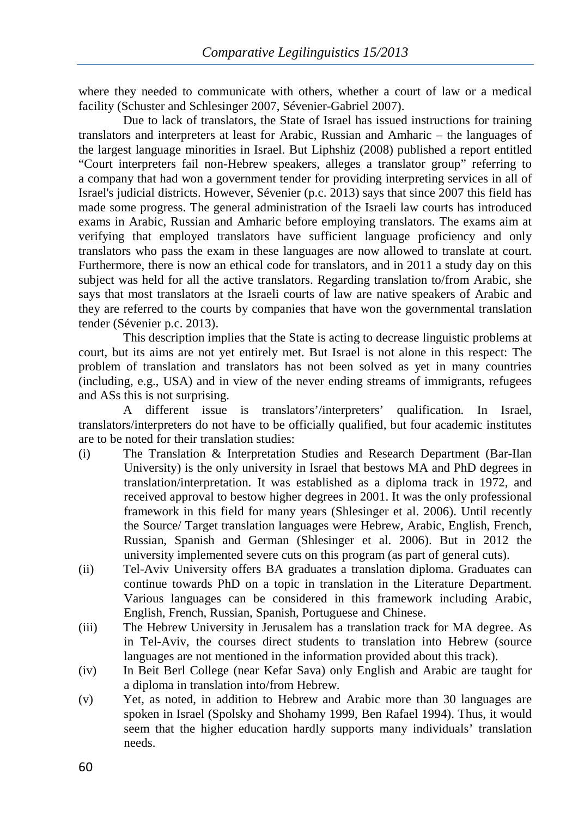where they needed to communicate with others, whether a court of law or a medical facility (Schuster and Schlesinger 2007, Sévenier-Gabriel 2007).

Due to lack of translators, the State of Israel has issued instructions for training translators and interpreters at least for Arabic, Russian and Amharic – the languages of the largest language minorities in Israel. But Liphshiz (2008) published a report entitled "Court interpreters fail non-Hebrew speakers, alleges a translator group" referring to a company that had won a government tender for providing interpreting services in all of Israel's judicial districts. However, Sévenier (p.c. 2013) says that since 2007 this field has made some progress. The general administration of the Israeli law courts has introduced exams in Arabic, Russian and Amharic before employing translators. The exams aim at verifying that employed translators have sufficient language proficiency and only translators who pass the exam in these languages are now allowed to translate at court. Furthermore, there is now an ethical code for translators, and in 2011 a study day on this subject was held for all the active translators. Regarding translation to/from Arabic, she says that most translators at the Israeli courts of law are native speakers of Arabic and they are referred to the courts by companies that have won the governmental translation tender (Sévenier p.c. 2013).

This description implies that the State is acting to decrease linguistic problems at court, but its aims are not yet entirely met. But Israel is not alone in this respect: The problem of translation and translators has not been solved as yet in many countries (including, e.g., USA) and in view of the never ending streams of immigrants, refugees and ASs this is not surprising.

A different issue is translators'/interpreters' qualification. In Israel, translators/interpreters do not have to be officially qualified, but four academic institutes are to be noted for their translation studies:

- (i) The Translation & Interpretation Studies and Research Department (Bar-Ilan University) is the only university in Israel that bestows MA and PhD degrees in translation/interpretation. It was established as a diploma track in 1972, and received approval to bestow higher degrees in 2001. It was the only professional framework in this field for many years (Shlesinger et al. 2006). Until recently the Source/ Target translation languages were Hebrew, Arabic, English, French, Russian, Spanish and German (Shlesinger et al. 2006). But in 2012 the university implemented severe cuts on this program (as part of general cuts).
- (ii) Tel-Aviv University offers BA graduates a translation diploma. Graduates can continue towards PhD on a topic in translation in the Literature Department. Various languages can be considered in this framework including Arabic, English, French, Russian, Spanish, Portuguese and Chinese.
- (iii) The Hebrew University in Jerusalem has a translation track for MA degree. As in Tel-Aviv, the courses direct students to translation into Hebrew (source languages are not mentioned in the information provided about this track).
- (iv) In Beit Berl College (near Kefar Sava) only English and Arabic are taught for a diploma in translation into/from Hebrew.
- (v) Yet, as noted, in addition to Hebrew and Arabic more than 30 languages are spoken in Israel (Spolsky and Shohamy 1999, Ben Rafael 1994). Thus, it would seem that the higher education hardly supports many individuals' translation needs.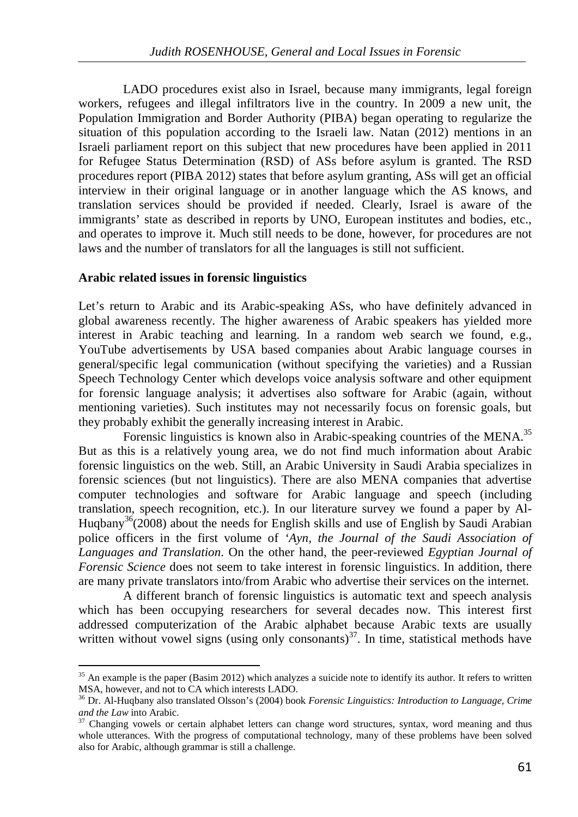LADO procedures exist also in Israel, because many immigrants, legal foreign workers, refugees and illegal infiltrators live in the country. In 2009 a new unit, the Population Immigration and Border Authority (PIBA) began operating to regularize the situation of this population according to the Israeli law. Natan (2012) mentions in an Israeli parliament report on this subject that new procedures have been applied in 2011 for Refugee Status Determination (RSD) of ASs before asylum is granted. The RSD procedures report (PIBA 2012) states that before asylum granting, ASs will get an official interview in their original language or in another language which the AS knows, and translation services should be provided if needed. Clearly, Israel is aware of the immigrants' state as described in reports by UNO, European institutes and bodies, etc., and operates to improve it. Much still needs to be done, however, for procedures are not laws and the number of translators for all the languages is still not sufficient.

#### **Arabic related issues in forensic linguistics**

֦

Let's return to Arabic and its Arabic-speaking ASs, who have definitely advanced in global awareness recently. The higher awareness of Arabic speakers has yielded more interest in Arabic teaching and learning. In a random web search we found, e.g., YouTube advertisements by USA based companies about Arabic language courses in general/specific legal communication (without specifying the varieties) and a Russian Speech Technology Center which develops voice analysis software and other equipment for forensic language analysis; it advertises also software for Arabic (again, without mentioning varieties). Such institutes may not necessarily focus on forensic goals, but they probably exhibit the generally increasing interest in Arabic.

Forensic linguistics is known also in Arabic-speaking countries of the MENA.<sup>35</sup> But as this is a relatively young area, we do not find much information about Arabic forensic linguistics on the web. Still, an Arabic University in Saudi Arabia specializes in forensic sciences (but not linguistics). There are also MENA companies that advertise computer technologies and software for Arabic language and speech (including translation, speech recognition, etc.). In our literature survey we found a paper by Al-Hugbany<sup>36</sup> (2008) about the needs for English skills and use of English by Saudi Arabian police officers in the first volume of *'Ayn, the Journal of the Saudi Association of Languages and Translation*. On the other hand, the peer-reviewed *Egyptian Journal of Forensic Science* does not seem to take interest in forensic linguistics. In addition, there are many private translators into/from Arabic who advertise their services on the internet.

A different branch of forensic linguistics is automatic text and speech analysis which has been occupying researchers for several decades now. This interest first addressed computerization of the Arabic alphabet because Arabic texts are usually written without vowel signs (using only consonants)<sup>37</sup>. In time, statistical methods have

 $35$  An example is the paper (Basim 2012) which analyzes a suicide note to identify its author. It refers to written MSA, however, and not to CA which interests LADO.

<sup>36</sup> Dr. Al-Huqbany also translated Olsson's (2004) book *Forensic Linguistics: Introduction to Language, Crime and the Law* into Arabic.

<sup>&</sup>lt;sup>37</sup> Changing vowels or certain alphabet letters can change word structures, syntax, word meaning and thus whole utterances. With the progress of computational technology, many of these problems have been solved also for Arabic, although grammar is still a challenge.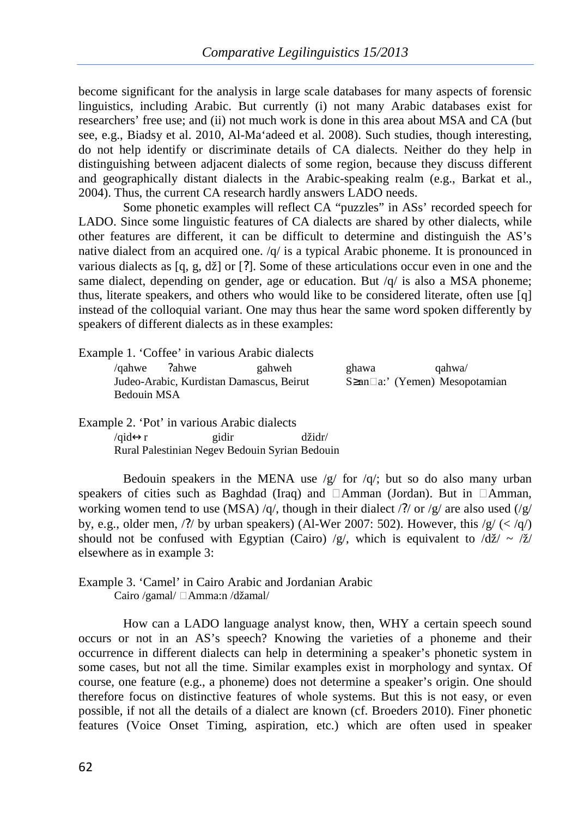become significant for the analysis in large scale databases for many aspects of forensic linguistics, including Arabic. But currently (i) not many Arabic databases exist for researchers' free use; and (ii) not much work is done in this area about MSA and CA (but see, e.g., Biadsy et al. 2010, Al-Ma'adeed et al. 2008). Such studies, though interesting, do not help identify or discriminate details of CA dialects. Neither do they help in distinguishing between adjacent dialects of some region, because they discuss different and geographically distant dialects in the Arabic-speaking realm (e.g., Barkat et al., 2004). Thus, the current CA research hardly answers LADO needs.

Some phonetic examples will reflect CA "puzzles" in ASs' recorded speech for LADO. Since some linguistic features of CA dialects are shared by other dialects, while other features are different, it can be difficult to determine and distinguish the AS's native dialect from an acquired one. /q/ is a typical Arabic phoneme. It is pronounced in various dialects as  $[q, g, d\check{z}]$  or [?]. Some of these articulations occur even in one and the same dialect, depending on gender, age or education. But  $\sqrt{q}$  is also a MSA phoneme; thus, literate speakers, and others who would like to be considered literate, often use [q] instead of the colloquial variant. One may thus hear the same word spoken differently by speakers of different dialects as in these examples:

|                                                         | Example 1. 'Coffee' in various Arabic dialects |       |                                            |
|---------------------------------------------------------|------------------------------------------------|-------|--------------------------------------------|
| /gahwe ?ahwe                                            | gahweh                                         | ghawa | aahwa/                                     |
| Judeo-Arabic, Kurdistan Damascus, Beirut<br>Bedouin MSA |                                                |       | $S\geq$ an $\Box$ a:' (Yemen) Mesopotamian |
|                                                         |                                                |       |                                            |

Example 2. 'Pot' in various Arabic dialects /qid↔r gidir džidr/ Rural Palestinian Negev Bedouin Syrian Bedouin

Bedouin speakers in the MENA use  $/g/$  for  $/q$ ; but so do also many urban speakers of cities such as Baghdad (Iraq) and  $\Box$ Amman (Jordan). But in  $\Box$ Amman, working women tend to use (MSA) /q/, though in their dialect /?/ or /g/ are also used (/g/ by, e.g., older men, /?/ by urban speakers) (Al-Wer 2007: 502). However, this  $/g/($ should not be confused with Egyptian (Cairo) /g/, which is equivalent to  $\frac{d\check{z}}{\check{z}} \sim \frac{\check{z}}{\check{z}}$ elsewhere as in example 3:

Example 3. 'Camel' in Cairo Arabic and Jordanian Arabic Cairo /gamal/ □ Amma:n /džamal/

How can a LADO language analyst know, then, WHY a certain speech sound occurs or not in an AS's speech? Knowing the varieties of a phoneme and their occurrence in different dialects can help in determining a speaker's phonetic system in some cases, but not all the time. Similar examples exist in morphology and syntax. Of course, one feature (e.g., a phoneme) does not determine a speaker's origin. One should therefore focus on distinctive features of whole systems. But this is not easy, or even possible, if not all the details of a dialect are known (cf. Broeders 2010). Finer phonetic features (Voice Onset Timing, aspiration, etc.) which are often used in speaker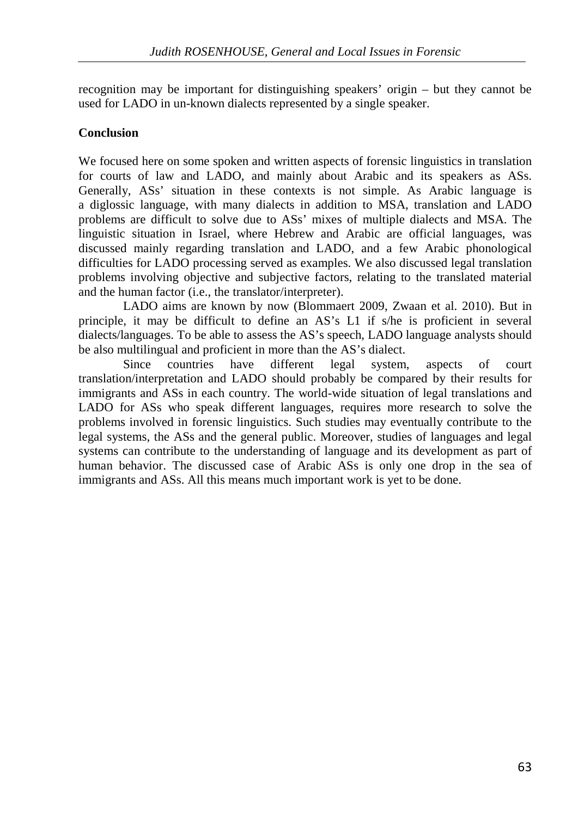recognition may be important for distinguishing speakers' origin – but they cannot be used for LADO in un-known dialects represented by a single speaker.

## **Conclusion**

We focused here on some spoken and written aspects of forensic linguistics in translation for courts of law and LADO, and mainly about Arabic and its speakers as ASs. Generally, ASs' situation in these contexts is not simple. As Arabic language is a diglossic language, with many dialects in addition to MSA, translation and LADO problems are difficult to solve due to ASs' mixes of multiple dialects and MSA. The linguistic situation in Israel, where Hebrew and Arabic are official languages, was discussed mainly regarding translation and LADO, and a few Arabic phonological difficulties for LADO processing served as examples. We also discussed legal translation problems involving objective and subjective factors, relating to the translated material and the human factor (i.e., the translator/interpreter).

LADO aims are known by now (Blommaert 2009, Zwaan et al. 2010). But in principle, it may be difficult to define an AS's L1 if s/he is proficient in several dialects/languages. To be able to assess the AS's speech, LADO language analysts should be also multilingual and proficient in more than the AS's dialect.

Since countries have different legal system, aspects of court translation/interpretation and LADO should probably be compared by their results for immigrants and ASs in each country. The world-wide situation of legal translations and LADO for ASs who speak different languages, requires more research to solve the problems involved in forensic linguistics. Such studies may eventually contribute to the legal systems, the ASs and the general public. Moreover, studies of languages and legal systems can contribute to the understanding of language and its development as part of human behavior. The discussed case of Arabic ASs is only one drop in the sea of immigrants and ASs. All this means much important work is yet to be done.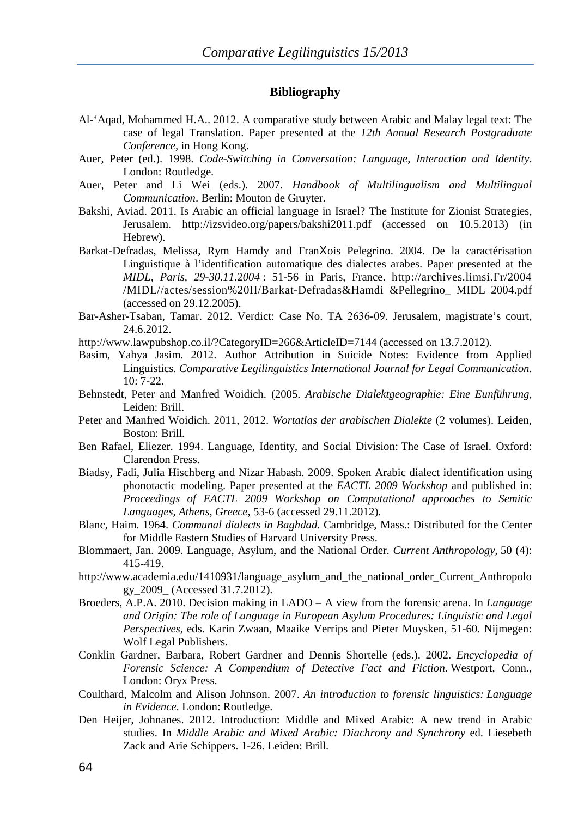#### **Bibliography**

- Al-'Aqad, Mohammed H.A.. 2012. A comparative study between Arabic and Malay legal text: The case of legal Translation. Paper presented at the *12th Annual Research Postgraduate Conference,* in Hong Kong.
- Auer, Peter (ed.). 1998. *Code-Switching in Conversation: Language, Interaction and Identity*. London: Routledge.
- Auer, Peter and Li Wei (eds.). 2007. *Handbook of Multilingualism and Multilingual Communication*. Berlin: Mouton de Gruyter.
- Bakshi, Aviad. 2011. Is Arabic an official language in Israel? The Institute for Zionist Strategies, Jerusalem. http://izsvideo.org/papers/bakshi2011.pdf (accessed on 10.5.2013) (in Hebrew).
- Barkat-Defradas, Melissa, Rym Hamdy and FranΧois Pelegrino. 2004. De la caractérisation Linguistique à l'identification automatique des dialectes arabes. Paper presented at the *MIDL, Paris, 29-30.11*.2*004* : 51-56 in Paris, France. http://archives.limsi.Fr/2004 /MIDL//actes/session%20II/Barkat-Defradas&Hamdi &Pellegrino\_ MIDL 2004.pdf (accessed on 29.12.2005).
- Bar-Asher-Tsaban, Tamar. 2012. Verdict: Case No. TA 2636-09. Jerusalem, magistrate's court, 24.6.2012.
- http://www.lawpubshop.co.il/?CategoryID=266&ArticleID=7144 (accessed on 13.7.2012).
- Basim, Yahya Jasim. 2012. Author Attribution in Suicide Notes: Evidence from Applied Linguistics. *Comparative Legilinguistics International Journal for Legal Communication.*  10: 7-22.
- Behnstedt, Peter and Manfred Woidich. (2005. *Arabische Dialektgeographie: Eine Eunführung*, Leiden: Brill.
- Peter and Manfred Woidich. 2011, 2012. *Wortatlas der arabischen Dialekte* (2 volumes). Leiden, Boston: Brill.
- Ben Rafael, Eliezer. 1994. Language, Identity, and Social Division: The Case of Israel. Oxford: Clarendon Press.
- Biadsy, Fadi, Julia Hischberg and Nizar Habash. 2009. Spoken Arabic dialect identification using phonotactic modeling. Paper presented at the *EACTL 2009 Workshop* and published in: *Proceedings of EACTL 2009 Workshop on Computational approaches to Semitic Languages, Athens, Greece*, 53-6 (accessed 29.11.2012).
- Blanc, Haim. 1964. *Communal dialects in Baghdad.* Cambridge, Mass.: Distributed for the Center for Middle Eastern Studies of Harvard University Press.
- Blommaert, Jan. 2009. Language, Asylum, and the National Order. *Current Anthropology*, 50 (4): 415-419.
- http://www.academia.edu/1410931/language\_asylum\_and\_the\_national\_order\_Current\_Anthropolo gy\_2009\_ (Accessed 31.7.2012).
- Broeders, A.P.A. 2010. Decision making in LADO A view from the forensic arena. In *Language and Origin: The role of Language in European Asylum Procedures: Linguistic and Legal Perspectives*, eds. Karin Zwaan, Maaike Verrips and Pieter Muysken, 51-60. Nijmegen: Wolf Legal Publishers.
- Conklin Gardner, Barbara, Robert Gardner and Dennis Shortelle (eds.). 2002. *Encyclopedia of Forensic Science: A Compendium of Detective Fact and Fiction*. Westport, Conn., London: Oryx Press.
- Coulthard, Malcolm and Alison Johnson. 2007. *An introduction to forensic linguistics: Language in Evidence*. London: Routledge.
- Den Heijer, Johnanes. 2012. Introduction: Middle and Mixed Arabic: A new trend in Arabic studies. In *Middle Arabic and Mixed Arabic: Diachrony and Synchrony* ed. Liesebeth Zack and Arie Schippers. 1-26. Leiden: Brill.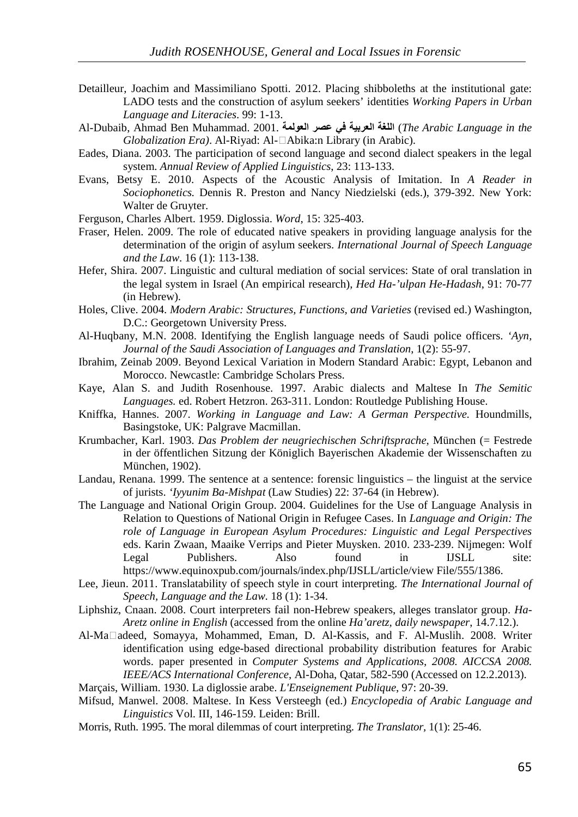- Detailleur, Joachim and Massimiliano Spotti. 2012. Placing shibboleths at the institutional gate: LADO tests and the construction of asylum seekers' identities *Working Papers in Urban Language and Literacies*. 99: 1-13.
- Al-Dubaib, Ahmad Ben Muhammad. 2001. **ا ا ا**) *The Arabic Language in the Globalization Era*). Al-Riyad: Al-□Abika:n Library (in Arabic).
- Eades, Diana. 2003. The participation of second language and second dialect speakers in the legal system. *Annual Review of Applied Linguistics*, 23: 113-133.
- Evans, Betsy E. 2010. Aspects of the Acoustic Analysis of Imitation. In *A Reader in Sociophonetics.* Dennis R. Preston and Nancy Niedzielski (eds.), 379-392. New York: Walter de Gruyter.
- Ferguson, Charles Albert. 1959. Diglossia. *Word*, 15: 325-403.
- Fraser, Helen. 2009. The role of educated native speakers in providing language analysis for the determination of the origin of asylum seekers. *International Journal of Speech Language and the Law*. 16 (1): 113-138.
- Hefer, Shira. 2007. Linguistic and cultural mediation of social services: State of oral translation in the legal system in Israel (An empirical research), *Hed Ha-'ulpan He-Hadash*, 91: 70-77 (in Hebrew).
- Holes, Clive. 2004. *Modern Arabic: Structures, Functions, and Varieties* (revised ed.) Washington, D.C.: Georgetown University Press.
- Al-Huqbany, M.N. 2008. Identifying the English language needs of Saudi police officers. *'Ayn, Journal of the Saudi Association of Languages and Translation*, 1(2): 55-97.
- Ibrahim, Zeinab 2009. Beyond Lexical Variation in Modern Standard Arabic: Egypt, Lebanon and Morocco. Newcastle: Cambridge Scholars Press.
- Kaye, Alan S. and Judith Rosenhouse. 1997. Arabic dialects and Maltese In *The Semitic Languages.* ed. Robert Hetzron. 263-311. London: Routledge Publishing House.
- Kniffka, Hannes. 2007. *Working in Language and Law: A German Perspective.* Houndmills, Basingstoke, UK: Palgrave Macmillan.
- Krumbacher, Karl. 1903. *Das Problem der neugriechischen Schriftsprache*, München (= Festrede in der öffentlichen Sitzung der Königlich Bayerischen Akademie der Wissenschaften zu München, 1902).
- Landau, Renana. 1999. The sentence at a sentence: forensic linguistics the linguist at the service of jurists. *'Iyyunim Ba-Mishpat* (Law Studies) 22: 37-64 (in Hebrew).
- The Language and National Origin Group. 2004. Guidelines for the Use of Language Analysis in Relation to Questions of National Origin in Refugee Cases. In *Language and Origin: The role of Language in European Asylum Procedures: Linguistic and Legal Perspectives* eds. Karin Zwaan, Maaike Verrips and Pieter Muysken. 2010. 233-239. Nijmegen: Wolf Legal Publishers. Also found in IJSLL site: https://www.equinoxpub.com/journals/index.php/IJSLL/article/view File/555/1386.
- Lee, Jieun. 2011. Translatability of speech style in court interpreting. *The International Journal of Speech, Language and the Law*. 18 (1): 1-34.
- Liphshiz, Cnaan. 2008. Court interpreters fail non-Hebrew speakers, alleges translator group. *Ha-Aretz online in English* (accessed from the online *Ha'aretz, daily newspaper*, 14.7.12.).
- Al-Maʕadeed, Somayya, Mohammed, Eman, D. Al-Kassis, and F. Al-Muslih. 2008. Writer identification using edge-based directional probability distribution features for Arabic words. paper presented in *Computer Systems and Applications, 2008. AICCSA 2008. IEEE/ACS International Conference*, Al-Doha, Qatar, 582-590 (Accessed on 12.2.2013).
- Marçais, William. 1930. La diglossie arabe. *L'Enseignement Publique*, 97: 20-39.
- Mifsud, Manwel. 2008. Maltese. In Kess Versteegh (ed.) *Encyclopedia of Arabic Language and Linguistics* Vol. III, 146-159. Leiden: Brill.
- Morris, Ruth. 1995. The moral dilemmas of court interpreting. *The Translator,* 1(1): 25-46.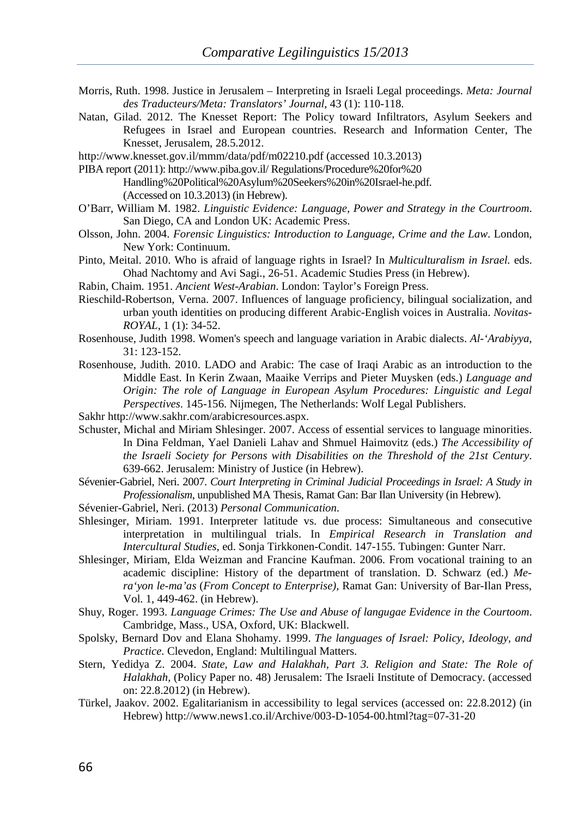- Morris, Ruth. 1998. Justice in Jerusalem Interpreting in Israeli Legal proceedings. *Meta: Journal des Traducteurs/Meta: Translators' Journal*, 43 (1): 110-118.
- Natan, Gilad. 2012. The Knesset Report: The Policy toward Infiltrators, Asylum Seekers and Refugees in Israel and European countries. Research and Information Center, The Knesset, Jerusalem, 28.5.2012.

http://www.knesset.gov.il/mmm/data/pdf/m02210.pdf (accessed 10.3.2013)

- PIBA report (2011): http://www.piba.gov.il/ Regulations/Procedure%20for%20 Handling%20Political%20Asylum%20Seekers%20in%20Israel-he.pdf. (Accessed on 10.3.2013) (in Hebrew).
- O'Barr, William M. 1982. *Linguistic Evidence: Language, Power and Strategy in the Courtroom*. San Diego, CA and London UK: Academic Press.
- Olsson, John. 2004. *Forensic Linguistics: Introduction to Language, Crime and the Law*. London, New York: Continuum.
- Pinto, Meital. 2010. Who is afraid of language rights in Israel? In *Multiculturalism in Israel.* eds. Ohad Nachtomy and Avi Sagi., 26-51. Academic Studies Press (in Hebrew).
- Rabin, Chaim. 1951. *Ancient West-Arabian*. London: Taylor's Foreign Press.
- Rieschild-Robertson, Verna. 2007. Influences of language proficiency, bilingual socialization, and urban youth identities on producing different Arabic-English voices in Australia. *Novitas-ROYAL*, 1 (1): 34-52.
- Rosenhouse, Judith 1998. Women's speech and language variation in Arabic dialects. *Al-'Arabiyya*, 31: 123-152.
- Rosenhouse, Judith. 2010. LADO and Arabic: The case of Iraqi Arabic as an introduction to the Middle East. In Kerin Zwaan, Maaike Verrips and Pieter Muysken (eds.) *Language and Origin: The role of Language in European Asylum Procedures: Linguistic and Legal Perspectives*. 145-156. Nijmegen, The Netherlands: Wolf Legal Publishers.
- Sakhr http://www.sakhr.com/arabicresources.aspx.
- Schuster, Michal and Miriam Shlesinger. 2007. Access of essential services to language minorities. In Dina Feldman, Yael Danieli Lahav and Shmuel Haimovitz (eds.) *The Accessibility of the Israeli Society for Persons with Disabilities on the Threshold of the 21st Century*. 639-662. Jerusalem: Ministry of Justice (in Hebrew).
- Sévenier-Gabriel, Neri. 2007. *Court Interpreting in Criminal Judicial Proceedings in Israel: A Study in Professionalism*, unpublished MA Thesis, Ramat Gan: Bar Ilan University (in Hebrew).
- Sévenier-Gabriel, Neri. (2013) *Personal Communication*.
- Shlesinger, Miriam. 1991. Interpreter latitude vs. due process: Simultaneous and consecutive interpretation in multilingual trials. In *Empirical Research in Translation and Intercultural Studies*, ed. Sonja Tirkkonen-Condit. 147-155. Tubingen: Gunter Narr.
- Shlesinger, Miriam, Elda Weizman and Francine Kaufman. 2006. From vocational training to an academic discipline: History of the department of translation. D. Schwarz (ed.) *Mera'yon le-ma'as* (*From Concept to Enterprise),* Ramat Gan: University of Bar-Ilan Press, Vol. 1, 449-462. (in Hebrew).
- Shuy, Roger. 1993. *Language Crimes: The Use and Abuse of langugae Evidence in the Courtoom*. Cambridge, Mass., USA, Oxford, UK: Blackwell.
- Spolsky, Bernard Dov and Elana Shohamy. 1999. *The languages of Israel: Policy, Ideology, and Practice*. Clevedon, England: Multilingual Matters.
- Stern, Yedidya Z. 2004. *State, Law and Halakhah, Part 3. Religion and State: The Role of Halakhah,* (Policy Paper no. 48) Jerusalem: The Israeli Institute of Democracy. (accessed on: 22.8.2012) (in Hebrew).
- Türkel, Jaakov. 2002. Egalitarianism in accessibility to legal services (accessed on: 22.8.2012) (in Hebrew) http://www.news1.co.il/Archive/003-D-1054-00.html?tag=07-31-20